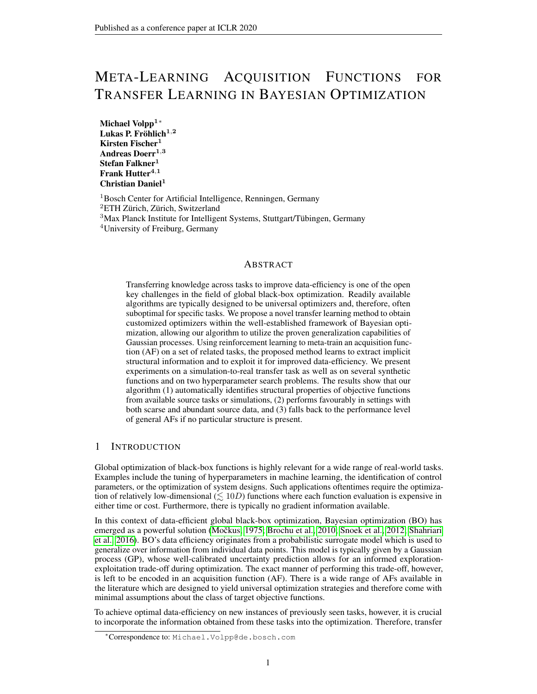# META-LEARNING ACQUISITION FUNCTIONS FOR TRANSFER LEARNING IN BAYESIAN OPTIMIZATION

Michael Volpp1<sup>∗</sup> Lukas P. Fröhlich $^{1,2}$ Kirsten Fischer<sup>1</sup> Andreas Doerr $^{1,3}$ Stefan Falkner<sup>1</sup> Frank Hutter $4,1$ Christian Daniel<sup>1</sup>

<sup>1</sup>Bosch Center for Artificial Intelligence, Renningen, Germany ETH Zürich, Zürich, Switzerland Max Planck Institute for Intelligent Systems, Stuttgart/Tübingen, Germany University of Freiburg, Germany

# **ABSTRACT**

Transferring knowledge across tasks to improve data-efficiency is one of the open key challenges in the field of global black-box optimization. Readily available algorithms are typically designed to be universal optimizers and, therefore, often suboptimal for specific tasks. We propose a novel transfer learning method to obtain customized optimizers within the well-established framework of Bayesian optimization, allowing our algorithm to utilize the proven generalization capabilities of Gaussian processes. Using reinforcement learning to meta-train an acquisition function (AF) on a set of related tasks, the proposed method learns to extract implicit structural information and to exploit it for improved data-efficiency. We present experiments on a simulation-to-real transfer task as well as on several synthetic functions and on two hyperparameter search problems. The results show that our algorithm (1) automatically identifies structural properties of objective functions from available source tasks or simulations, (2) performs favourably in settings with both scarse and abundant source data, and (3) falls back to the performance level of general AFs if no particular structure is present.

# 1 INTRODUCTION

Global optimization of black-box functions is highly relevant for a wide range of real-world tasks. Examples include the tuning of hyperparameters in machine learning, the identification of control parameters, or the optimization of system designs. Such applications oftentimes require the optimization of relatively low-dimensional  $(\leq 10D)$  functions where each function evaluation is expensive in either time or cost. Furthermore, there is typically no gradient information available.

In this context of data-efficient global black-box optimization, Bayesian optimization (BO) has emerged as a powerful solution (Močkus, 1975; [Brochu et al., 2010;](#page-10-0) [Snoek et al., 2012;](#page-11-1) [Shahriari](#page-11-2) [et al., 2016\)](#page-11-2). BO's data efficiency originates from a probabilistic surrogate model which is used to generalize over information from individual data points. This model is typically given by a Gaussian process (GP), whose well-calibrated uncertainty prediction allows for an informed explorationexploitation trade-off during optimization. The exact manner of performing this trade-off, however, is left to be encoded in an acquisition function (AF). There is a wide range of AFs available in the literature which are designed to yield universal optimization strategies and therefore come with minimal assumptions about the class of target objective functions.

To achieve optimal data-efficiency on new instances of previously seen tasks, however, it is crucial to incorporate the information obtained from these tasks into the optimization. Therefore, transfer

<sup>∗</sup>Correspondence to: Michael.Volpp@de.bosch.com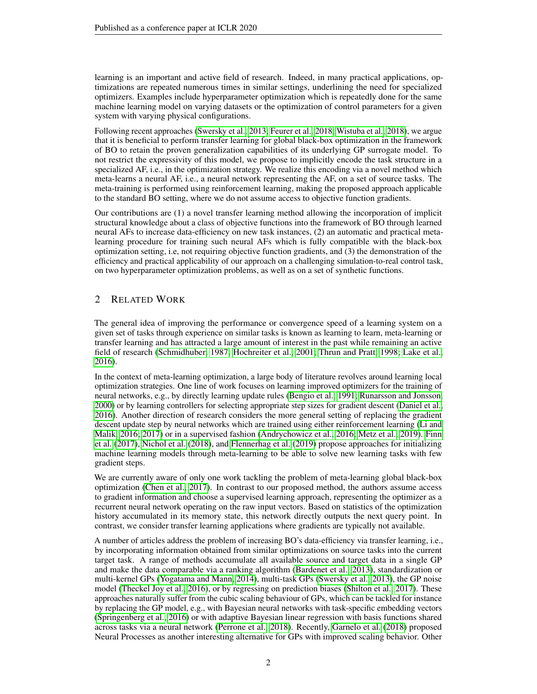learning is an important and active field of research. Indeed, in many practical applications, optimizations are repeated numerous times in similar settings, underlining the need for specialized optimizers. Examples include hyperparameter optimization which is repeatedly done for the same machine learning model on varying datasets or the optimization of control parameters for a given system with varying physical configurations.

Following recent approaches [\(Swersky et al., 2013;](#page-12-0) [Feurer et al., 2018;](#page-10-1) [Wistuba et al., 2018\)](#page-12-1), we argue that it is beneficial to perform transfer learning for global black-box optimization in the framework of BO to retain the proven generalization capabilities of its underlying GP surrogate model. To not restrict the expressivity of this model, we propose to implicitly encode the task structure in a specialized AF, i.e., in the optimization strategy. We realize this encoding via a novel method which meta-learns a neural AF, i.e., a neural network representing the AF, on a set of source tasks. The meta-training is performed using reinforcement learning, making the proposed approach applicable to the standard BO setting, where we do not assume access to objective function gradients.

Our contributions are (1) a novel transfer learning method allowing the incorporation of implicit structural knowledge about a class of objective functions into the framework of BO through learned neural AFs to increase data-efficiency on new task instances, (2) an automatic and practical metalearning procedure for training such neural AFs which is fully compatible with the black-box optimization setting, i.e, not requiring objective function gradients, and (3) the demonstration of the efficiency and practical applicability of our approach on a challenging simulation-to-real control task, on two hyperparameter optimization problems, as well as on a set of synthetic functions.

# 2 RELATED WORK

The general idea of improving the performance or convergence speed of a learning system on a given set of tasks through experience on similar tasks is known as learning to learn, meta-learning or transfer learning and has attracted a large amount of interest in the past while remaining an active field of research [\(Schmidhuber, 1987;](#page-11-3) [Hochreiter et al., 2001;](#page-10-2) [Thrun and Pratt, 1998;](#page-12-2) [Lake et al.,](#page-11-4) [2016\)](#page-11-4).

In the context of meta-learning optimization, a large body of literature revolves around learning local optimization strategies. One line of work focuses on learning improved optimizers for the training of neural networks, e.g., by directly learning update rules [\(Bengio et al., 1991;](#page-10-3) [Runarsson and Jonsson,](#page-11-5) [2000\)](#page-11-5) or by learning controllers for selecting appropriate step sizes for gradient descent [\(Daniel et al.,](#page-10-4) [2016\)](#page-10-4). Another direction of research considers the more general setting of replacing the gradient descent update step by neural networks which are trained using either reinforcement learning [\(Li and](#page-11-6) [Malik, 2016;](#page-11-6) [2017\)](#page-11-7) or in a supervised fashion [\(Andrychowicz et al., 2016;](#page-10-5) [Metz et al., 2019\)](#page-11-8). [Finn](#page-10-6) [et al.](#page-10-6) [\(2017\)](#page-10-6), [Nichol et al.](#page-11-9) [\(2018\)](#page-11-9), and [Flennerhag et al.](#page-10-7) [\(2019\)](#page-10-7) propose approaches for initializing machine learning models through meta-learning to be able to solve new learning tasks with few gradient steps.

We are currently aware of only one work tackling the problem of meta-learning global black-box optimization [\(Chen et al., 2017\)](#page-10-8). In contrast to our proposed method, the authors assume access to gradient information and choose a supervised learning approach, representing the optimizer as a recurrent neural network operating on the raw input vectors. Based on statistics of the optimization history accumulated in its memory state, this network directly outputs the next query point. In contrast, we consider transfer learning applications where gradients are typically not available.

A number of articles address the problem of increasing BO's data-efficiency via transfer learning, i.e., by incorporating information obtained from similar optimizations on source tasks into the current target task. A range of methods accumulate all available source and target data in a single GP and make the data comparable via a ranking algorithm [\(Bardenet et al., 2013\)](#page-10-9), standardization or multi-kernel GPs [\(Yogatama and Mann, 2014\)](#page-12-3), multi-task GPs [\(Swersky et al., 2013\)](#page-12-0), the GP noise model [\(Theckel Joy et al., 2016\)](#page-12-4), or by regressing on prediction biases [\(Shilton et al., 2017\)](#page-11-10). These approaches naturally suffer from the cubic scaling behaviour of GPs, which can be tackled for instance by replacing the GP model, e.g., with Bayesian neural networks with task-specific embedding vectors [\(Springenberg et al., 2016\)](#page-11-11) or with adaptive Bayesian linear regression with basis functions shared across tasks via a neural network [\(Perrone et al., 2018\)](#page-11-12). Recently, [Garnelo et al.](#page-10-10) [\(2018\)](#page-10-10) proposed Neural Processes as another interesting alternative for GPs with improved scaling behavior. Other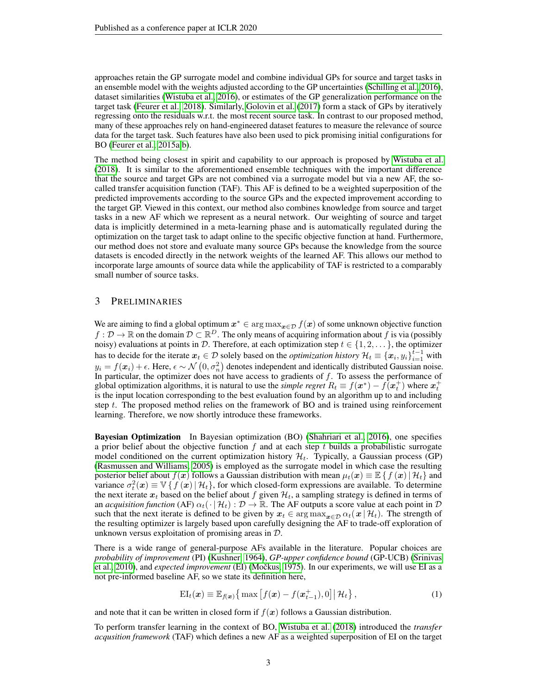approaches retain the GP surrogate model and combine individual GPs for source and target tasks in an ensemble model with the weights adjusted according to the GP uncertainties [\(Schilling et al., 2016\)](#page-11-13), dataset similarities [\(Wistuba et al., 2016\)](#page-12-5), or estimates of the GP generalization performance on the target task [\(Feurer et al., 2018\)](#page-10-1). Similarly, [Golovin et al.](#page-10-11) [\(2017\)](#page-10-11) form a stack of GPs by iteratively regressing onto the residuals w.r.t. the most recent source task. In contrast to our proposed method, many of these approaches rely on hand-engineered dataset features to measure the relevance of source data for the target task. Such features have also been used to pick promising initial configurations for BO [\(Feurer et al., 2015a;](#page-10-12)[b\)](#page-10-13).

The method being closest in spirit and capability to our approach is proposed by [Wistuba et al.](#page-12-1) [\(2018\)](#page-12-1). It is similar to the aforementioned ensemble techniques with the important difference that the source and target GPs are not combined via a surrogate model but via a new AF, the socalled transfer acquisition function (TAF). This AF is defined to be a weighted superposition of the predicted improvements according to the source GPs and the expected improvement according to the target GP. Viewed in this context, our method also combines knowledge from source and target tasks in a new AF which we represent as a neural network. Our weighting of source and target data is implicitly determined in a meta-learning phase and is automatically regulated during the optimization on the target task to adapt online to the specific objective function at hand. Furthermore, our method does not store and evaluate many source GPs because the knowledge from the source datasets is encoded directly in the network weights of the learned AF. This allows our method to incorporate large amounts of source data while the applicability of TAF is restricted to a comparably small number of source tasks.

# 3 PRELIMINARIES

We are aiming to find a global optimum  $x^* \in \arg \max_{x \in \mathcal{D}} f(x)$  of some unknown objective function  $f: \mathcal{D} \to \mathbb{R}$  on the domain  $\mathcal{D} \subset \mathbb{R}^D$ . The only means of acquiring information about f is via (possibly noisy) evaluations at points in D. Therefore, at each optimization step  $t \in \{1, 2, \ldots\}$ , the optimizer has to decide for the iterate  $x_t \in \mathcal{D}$  solely based on the *optimization history*  $\mathcal{H}_t \equiv \{\mathbf{x}_i, y_i\}_{i=1}^{t-1}$  with  $y_i = f(x_i) + \epsilon$ . Here,  $\epsilon \sim \mathcal{N}(0, \sigma_n^2)$  denotes independent and identically distributed Gaussian noise. In particular, the optimizer does not have access to gradients of  $f$ . To assess the performance of global optimization algorithms, it is natural to use the *simple regret*  $R_t \equiv f(x^*) - f(x_t^+)$  where  $x_t^+$ is the input location corresponding to the best evaluation found by an algorithm up to and including step  $t$ . The proposed method relies on the framework of BO and is trained using reinforcement learning. Therefore, we now shortly introduce these frameworks.

Bayesian Optimization In Bayesian optimization (BO) [\(Shahriari et al., 2016\)](#page-11-2), one specifies a prior belief about the objective function  $f$  and at each step  $t$  builds a probabilistic surrogate model conditioned on the current optimization history  $\mathcal{H}_t$ . Typically, a Gaussian process (GP) [\(Rasmussen and Williams, 2005\)](#page-11-14) is employed as the surrogate model in which case the resulting posterior belief about  $f(x)$  follows a Gaussian distribution with mean  $\mu_t(x) \equiv \mathbb{E} \{ f(x) | \mathcal{H}_t \}$  and variance  $\sigma_t^2(x) \equiv \mathbb{V}\left\{f(x) | \mathcal{H}_t\right\}$ , for which closed-form expressions are available. To determine the next iterate  $x_t$  based on the belief about f given  $\mathcal{H}_t$ , a sampling strategy is defined in terms of an *acquisition function* (AF)  $\alpha_t(\cdot | \mathcal{H}_t) : \mathcal{D} \to \mathbb{R}$ . The AF outputs a score value at each point in  $\mathcal D$ such that the next iterate is defined to be given by  $x_t \in \arg \max_{x \in \mathcal{D}} \alpha_t(x | \mathcal{H}_t)$ . The strength of the resulting optimizer is largely based upon carefully designing the AF to trade-off exploration of unknown versus exploitation of promising areas in D.

There is a wide range of general-purpose AFs available in the literature. Popular choices are *probability of improvement* (PI) [\(Kushner, 1964\)](#page-10-14), *GP-upper confidence bound* (GP-UCB) [\(Srinivas](#page-11-15) [et al., 2010\)](#page-11-15), and *expected improvement* (EI) (Močkus, 1975). In our experiments, we will use EI as a not pre-informed baseline AF, so we state its definition here,

$$
EI_t(\boldsymbol{x}) \equiv \mathbb{E}_{f(\boldsymbol{x})} \left\{ \max \left[ f(\boldsymbol{x}) - f(\boldsymbol{x}_{t-1}^+), 0 \right] \middle| \mathcal{H}_t \right\},\tag{1}
$$

and note that it can be written in closed form if  $f(x)$  follows a Gaussian distribution.

To perform transfer learning in the context of BO, [Wistuba et al.](#page-12-1) [\(2018\)](#page-12-1) introduced the *transfer acqusition framework* (TAF) which defines a new AF as a weighted superposition of EI on the target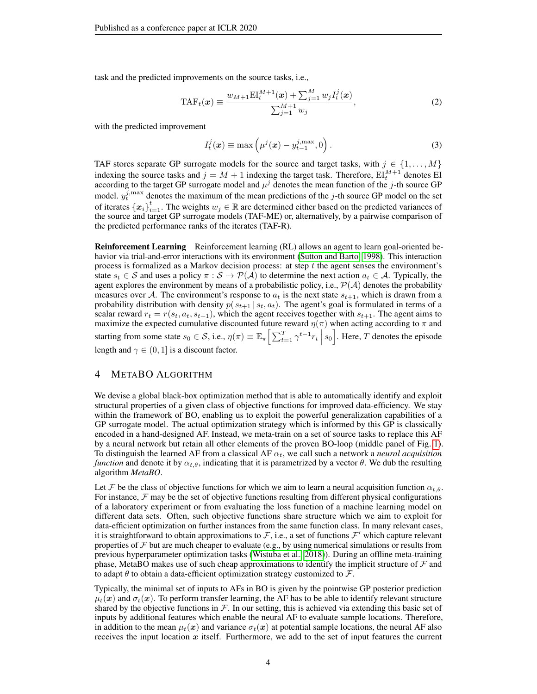task and the predicted improvements on the source tasks, i.e.,

$$
TAF_t(\boldsymbol{x}) \equiv \frac{w_{M+1} E I_t^{M+1}(\boldsymbol{x}) + \sum_{j=1}^M w_j I_t^j(\boldsymbol{x})}{\sum_{j=1}^{M+1} w_j},
$$
(2)

with the predicted improvement

$$
I_t^j(\boldsymbol{x}) \equiv \max\left(\mu^j(\boldsymbol{x}) - y_{t-1}^{j,\max}, 0\right).
$$
 (3)

TAF stores separate GP surrogate models for the source and target tasks, with  $j \in \{1, ..., M\}$ indexing the source tasks and  $j = M + 1$  indexing the target task. Therefore,  $\mathbb{E} \mathbb{I}_{t}^{M+1}$  denotes EI according to the target GP surrogate model and  $\mu^{j}$  denotes the mean function of the j-th source GP model.  $y_t^{j, \max}$  denotes the maximum of the mean predictions of the j-th source GP model on the set of iterates  ${x_i}_{i=1}^t$ . The weights  $w_j \in \mathbb{R}$  are determined either based on the predicted variances of the source and target GP surrogate models (TAF-ME) or, alternatively, by a pairwise comparison of the predicted performance ranks of the iterates (TAF-R).

Reinforcement Learning Reinforcement learning (RL) allows an agent to learn goal-oriented behavior via trial-and-error interactions with its environment [\(Sutton and Barto, 1998\)](#page-12-6). This interaction process is formalized as a Markov decision process: at step  $t$  the agent senses the environment's state  $s_t \in S$  and uses a policy  $\pi : S \to P(\mathcal{A})$  to determine the next action  $a_t \in \mathcal{A}$ . Typically, the agent explores the environment by means of a probabilistic policy, i.e.,  $\mathcal{P}(\mathcal{A})$  denotes the probability measures over A. The environment's response to  $a_t$  is the next state  $s_{t+1}$ , which is drawn from a probability distribution with density  $p(s_{t+1} | s_t, a_t)$ . The agent's goal is formulated in terms of a scalar reward  $r_t = r(s_t, a_t, s_{t+1})$ , which the agent receives together with  $s_{t+1}$ . The agent aims to maximize the expected cumulative discounted future reward  $\eta(\pi)$  when acting according to  $\pi$  and starting from some state  $s_0 \in S$ , i.e.,  $\eta(\pi) \equiv \mathbb{E}_{\pi} \Big[ \sum_{t=1}^T \gamma^{t-1} r_t \, \Big| \, s_0 \Big]$ . Here, T denotes the episode length and  $\gamma \in (0, 1]$  is a discount factor.

# 4 METABO ALGORITHM

We devise a global black-box optimization method that is able to automatically identify and exploit structural properties of a given class of objective functions for improved data-efficiency. We stay within the framework of BO, enabling us to exploit the powerful generalization capabilities of a GP surrogate model. The actual optimization strategy which is informed by this GP is classically encoded in a hand-designed AF. Instead, we meta-train on a set of source tasks to replace this AF by a neural network but retain all other elements of the proven BO-loop (middle panel of Fig. [1\)](#page-4-0). To distinguish the learned AF from a classical AF  $\alpha_t$ , we call such a network a *neural acquisition function* and denote it by  $\alpha_{t,\theta}$ , indicating that it is parametrized by a vector  $\theta$ . We dub the resulting algorithm *MetaBO*.

Let F be the class of objective functions for which we aim to learn a neural acquisition function  $\alpha_{t,\theta}$ . For instance,  $\mathcal F$  may be the set of objective functions resulting from different physical configurations of a laboratory experiment or from evaluating the loss function of a machine learning model on different data sets. Often, such objective functions share structure which we aim to exploit for data-efficient optimization on further instances from the same function class. In many relevant cases, it is straightforward to obtain approximations to  $\mathcal{F}$ , i.e., a set of functions  $\mathcal{F}'$  which capture relevant properties of  $\mathcal F$  but are much cheaper to evaluate (e.g., by using numerical simulations or results from previous hyperparameter optimization tasks [\(Wistuba et al., 2018\)](#page-12-1)). During an offline meta-training phase, MetaBO makes use of such cheap approximations to identify the implicit structure of  $\mathcal F$  and to adapt  $\theta$  to obtain a data-efficient optimization strategy customized to  $\mathcal{F}$ .

Typically, the minimal set of inputs to AFs in BO is given by the pointwise GP posterior prediction  $\mu_t(x)$  and  $\sigma_t(x)$ . To perform transfer learning, the AF has to be able to identify relevant structure shared by the objective functions in  $\mathcal F$ . In our setting, this is achieved via extending this basic set of inputs by additional features which enable the neural AF to evaluate sample locations. Therefore, in addition to the mean  $\mu_t(x)$  and variance  $\sigma_t(x)$  at potential sample locations, the neural AF also receives the input location  $x$  itself. Furthermore, we add to the set of input features the current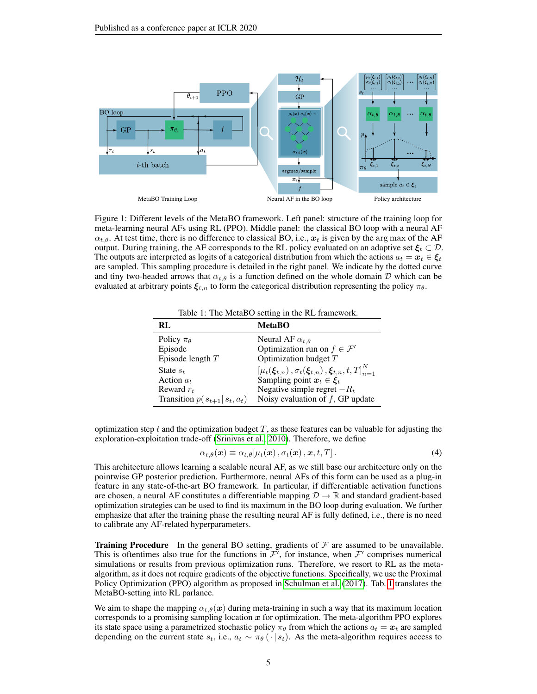

<span id="page-4-0"></span>Figure 1: Different levels of the MetaBO framework. Left panel: structure of the training loop for meta-learning neural AFs using RL (PPO). Middle panel: the classical BO loop with a neural AF  $\alpha_{t,\theta}$ . At test time, there is no difference to classical BO, i.e.,  $x_t$  is given by the arg max of the AF output. During training, the AF corresponds to the RL policy evaluated on an adaptive set  $\xi_t \subset \mathcal{D}$ . The outputs are interpreted as logits of a categorical distribution from which the actions  $a_t = x_t \in \mathcal{E}_t$ are sampled. This sampling procedure is detailed in the right panel. We indicate by the dotted curve and tiny two-headed arrows that  $\alpha_{t,\theta}$  is a function defined on the whole domain D which can be evaluated at arbitrary points  $\xi_{t,n}$  to form the categorical distribution representing the policy  $\pi_{\theta}$ .

<span id="page-4-1"></span>Table 1: The MetaBO setting in the RL framework.

| RL.                                | <b>MetaBO</b>                                                      |
|------------------------------------|--------------------------------------------------------------------|
| Policy $\pi_{\theta}$              | Neural AF $\alpha_{t,\theta}$                                      |
| Episode                            | Optimization run on $f \in \mathcal{F}'$                           |
| Episode length $T$                 | Optimization budget $T$                                            |
| State $s_t$                        | $[\mu_t(\xi_{t,n}), \sigma_t(\xi_{t,n}), \xi_{t,n}, t, T]_{n=1}^N$ |
| Action $a_t$                       | Sampling point $x_t \in \xi_t$                                     |
| Reward $r_t$                       | Negative simple regret $-R_t$                                      |
| Transition $p(s_{t+1}   s_t, a_t)$ | Noisy evaluation of $f$ , GP update                                |

optimization step  $t$  and the optimization budget  $T$ , as these features can be valuable for adjusting the exploration-exploitation trade-off [\(Srinivas et al., 2010\)](#page-11-15). Therefore, we define

$$
\alpha_{t,\theta}(\boldsymbol{x}) \equiv \alpha_{t,\theta}[\mu_t(\boldsymbol{x}), \sigma_t(\boldsymbol{x}), \boldsymbol{x}, t, T]. \tag{4}
$$

This architecture allows learning a scalable neural AF, as we still base our architecture only on the pointwise GP posterior prediction. Furthermore, neural AFs of this form can be used as a plug-in feature in any state-of-the-art BO framework. In particular, if differentiable activation functions are chosen, a neural AF constitutes a differentiable mapping  $\mathcal{D} \to \mathbb{R}$  and standard gradient-based optimization strategies can be used to find its maximum in the BO loop during evaluation. We further emphasize that after the training phase the resulting neural AF is fully defined, i.e., there is no need to calibrate any AF-related hyperparameters.

**Training Procedure** In the general BO setting, gradients of  $\mathcal F$  are assumed to be unavailable. This is oftentimes also true for the functions in  $\mathcal{F}'$ , for instance, when  $\mathcal{F}'$  comprises numerical simulations or results from previous optimization runs. Therefore, we resort to RL as the metaalgorithm, as it does not require gradients of the objective functions. Specifically, we use the Proximal Policy Optimization (PPO) algorithm as proposed in [Schulman et al.](#page-11-16) [\(2017\)](#page-11-16). Tab. [1](#page-4-1) translates the MetaBO-setting into RL parlance.

We aim to shape the mapping  $\alpha_{t,\theta}(x)$  during meta-training in such a way that its maximum location corresponds to a promising sampling location  $x$  for optimization. The meta-algorithm PPO explores its state space using a parametrized stochastic policy  $\pi_{\theta}$  from which the actions  $a_t = x_t$  are sampled depending on the current state  $s_t$ , i.e.,  $a_t \sim \pi_\theta(\cdot | s_t)$ . As the meta-algorithm requires access to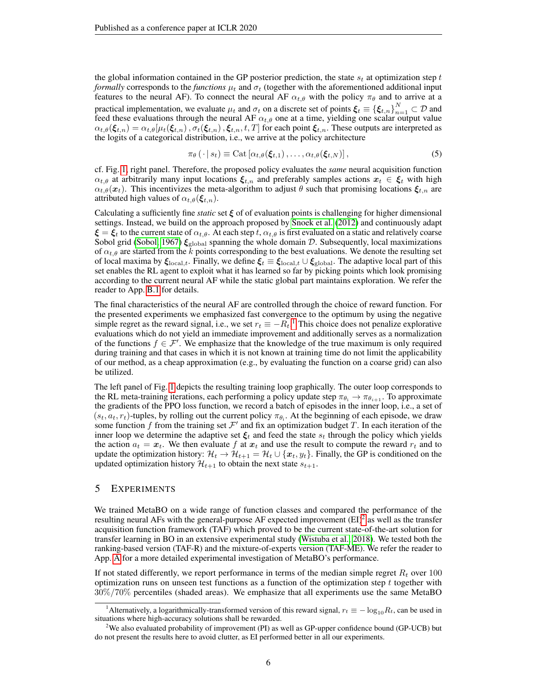the global information contained in the GP posterior prediction, the state  $s_t$  at optimization step t *formally* corresponds to the *functions*  $\mu_t$  and  $\sigma_t$  (together with the aforementioned additional input features to the neural AF). To connect the neural AF  $\alpha_{t,\theta}$  with the policy  $\pi_{\theta}$  and to arrive at a practical implementation, we evaluate  $\mu_t$  and  $\sigma_t$  on a discrete set of points  $\xi_t \equiv {\{\xi_{t,n}\}}_{n=1}^N \subset \mathcal{D}$  and feed these evaluations through the neural AF  $\alpha_{t,\theta}$  one at a time, yielding one scalar output value  $\alpha_{t,\theta}(\xi_{t,n}) = \alpha_{t,\theta}[\mu_t(\xi_{t,n}), \sigma_t(\xi_{t,n}), \xi_{t,n}, t, T]$  for each point  $\xi_{t,n}$ . These outputs are interpreted as the logits of a categorical distribution, i.e., we arrive at the policy architecture

$$
\pi_{\theta}(\cdot | s_t) \equiv \mathrm{Cat}\left[\alpha_{t,\theta}(\boldsymbol{\xi}_{t,1}), \ldots, \alpha_{t,\theta}(\boldsymbol{\xi}_{t,N})\right],\tag{5}
$$

cf. Fig. [1,](#page-4-0) right panel. Therefore, the proposed policy evaluates the *same* neural acquisition function  $\alpha_{t,\theta}$  at arbitrarily many input locations  $\xi_{t,n}$  and preferably samples actions  $x_t \in \xi_t$  with high  $\alpha_{t,\theta}(\bm{x}_t)$ . This incentivizes the meta-algorithm to adjust  $\theta$  such that promising locations  $\xi_{t,n}$  are attributed high values of  $\alpha_{t,\theta}(\xi_{t,n})$ .

Calculating a sufficiently fine *static* set  $\xi$  of of evaluation points is challenging for higher dimensional settings. Instead, we build on the approach proposed by [Snoek et al.](#page-11-1) [\(2012\)](#page-11-1) and continuously adapt  $\xi = \xi_t$  to the current state of  $\alpha_{t,\theta}$ . At each step t,  $\alpha_{t,\theta}$  is first evaluated on a static and relatively coarse Sobol grid [\(Sobol, 1967\)](#page-11-17)  $\xi_{\text{global}}$  spanning the whole domain D. Subsequently, local maximizations of  $\alpha_{t,\theta}$  are started from the k points corresponding to the best evaluations. We denote the resulting set of local maxima by  $\xi_{\text{local},t}$ . Finally, we define  $\xi_t \equiv \xi_{\text{local},t} \cup \xi_{\text{global}}$ . The adaptive local part of this set enables the RL agent to exploit what it has learned so far by picking points which look promising according to the current neural AF while the static global part maintains exploration. We refer the reader to App. [B.1](#page-20-0) for details.

The final characteristics of the neural AF are controlled through the choice of reward function. For the presented experiments we emphasized fast convergence to the optimum by using the negative simple regret as the reward signal, i.e., we set  $r_t \equiv -R_t$ .<sup>[1](#page-5-0)</sup> This choice does not penalize explorative evaluations which do not yield an immediate improvement and additionally serves as a normalization of the functions  $f \in \mathcal{F}'$ . We emphasize that the knowledge of the true maximum is only required during training and that cases in which it is not known at training time do not limit the applicability of our method, as a cheap approximation (e.g., by evaluating the function on a coarse grid) can also be utilized.

The left panel of Fig. [1](#page-4-0) depicts the resulting training loop graphically. The outer loop corresponds to the RL meta-training iterations, each performing a policy update step  $\pi_{\theta_i} \to \pi_{\theta_{i+1}}$ . To approximate the gradients of the PPO loss function, we record a batch of episodes in the inner loop, i.e., a set of  $(s_t, a_t, r_t)$ -tuples, by rolling out the current policy  $\pi_{\theta_i}$ . At the beginning of each episode, we draw some function f from the training set  $\mathcal{F}'$  and fix an optimization budget T. In each iteration of the inner loop we determine the adaptive set  $\xi_t$  and feed the state  $s_t$  through the policy which yields the action  $a_t = x_t$ . We then evaluate f at  $x_t$  and use the result to compute the reward  $r_t$  and to update the optimization history:  $\mathcal{H}_t \to \mathcal{H}_{t+1} = \mathcal{H}_t \cup \{x_t, y_t\}$ . Finally, the GP is conditioned on the updated optimization history  $\mathcal{H}_{t+1}$  to obtain the next state  $s_{t+1}$ .

## 5 EXPERIMENTS

We trained MetaBO on a wide range of function classes and compared the performance of the resulting neural AFs with the general-purpose AF expected improvement  $(EI)^2$  $(EI)^2$  as well as the transfer acquisition function framework (TAF) which proved to be the current state-of-the-art solution for transfer learning in BO in an extensive experimental study [\(Wistuba et al., 2018\)](#page-12-1). We tested both the ranking-based version (TAF-R) and the mixture-of-experts version (TAF-ME). We refer the reader to App. [A](#page-13-0) for a more detailed experimental investigation of MetaBO's performance.

If not stated differently, we report performance in terms of the median simple regret  $R_t$  over 100 optimization runs on unseen test functions as a function of the optimization step  $t$  together with 30%/70% percentiles (shaded areas). We emphasize that all experiments use the same MetaBO

<span id="page-5-0"></span><sup>&</sup>lt;sup>1</sup>Alternatively, a logarithmically-transformed version of this reward signal,  $r_t \equiv -\log_{10} R_t$ , can be used in situations where high-accuracy solutions shall be rewarded.

<span id="page-5-1"></span><sup>&</sup>lt;sup>2</sup>We also evaluated probability of improvement (PI) as well as GP-upper confidence bound (GP-UCB) but do not present the results here to avoid clutter, as EI performed better in all our experiments.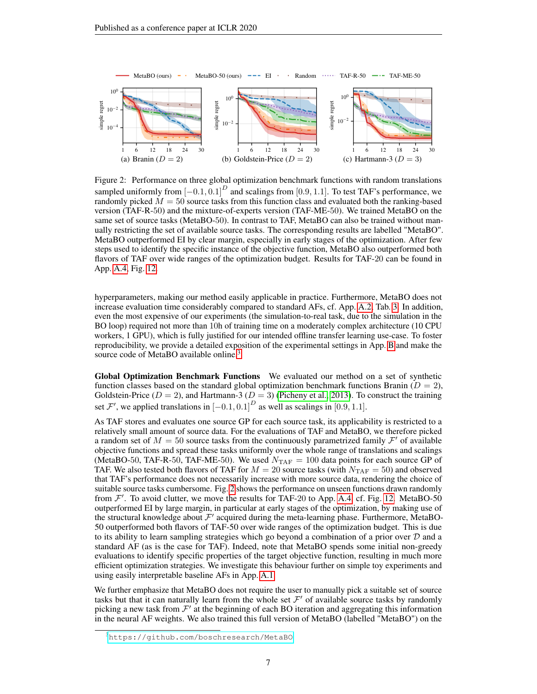

<span id="page-6-2"></span><span id="page-6-1"></span>Figure 2: Performance on three global optimization benchmark functions with random translations sampled uniformly from  $[-0.1, 0.1]^D$  and scalings from [0.9, 1.1]. To test TAF's performance, we randomly picked  $M = 50$  source tasks from this function class and evaluated both the ranking-based version (TAF-R-50) and the mixture-of-experts version (TAF-ME-50). We trained MetaBO on the same set of source tasks (MetaBO-50). In contrast to TAF, MetaBO can also be trained without manually restricting the set of available source tasks. The corresponding results are labelled "MetaBO". MetaBO outperformed EI by clear margin, especially in early stages of the optimization. After few steps used to identify the specific instance of the objective function, MetaBO also outperformed both flavors of TAF over wide ranges of the optimization budget. Results for TAF-20 can be found in App. [A.4,](#page-18-0) Fig. [12.](#page-19-0)

hyperparameters, making our method easily applicable in practice. Furthermore, MetaBO does not increase evaluation time considerably compared to standard AFs, cf. App. [A.2,](#page-16-0) Tab. [3.](#page-17-0) In addition, even the most expensive of our experiments (the simulation-to-real task, due to the simulation in the BO loop) required not more than 10h of training time on a moderately complex architecture (10 CPU workers, 1 GPU), which is fully justified for our intended offline transfer learning use-case. To foster reproducibility, we provide a detailed exposition of the experimental settings in App. [B](#page-18-1) and make the source code of MetaBO available online.<sup>[3](#page-6-0)</sup>

Global Optimization Benchmark Functions We evaluated our method on a set of synthetic function classes based on the standard global optimization benchmark functions Branin ( $D = 2$ ), Goldstein-Price ( $D = 2$ ), and Hartmann-3 ( $D = 3$ ) [\(Picheny et al., 2013\)](#page-11-18). To construct the training set  $\mathcal{F}'$ , we applied translations in  $[-0.1, 0.1]^D$  as well as scalings in [0.9, 1.1].

As TAF stores and evaluates one source GP for each source task, its applicability is restricted to a relatively small amount of source data. For the evaluations of TAF and MetaBO, we therefore picked a random set of  $M = 50$  source tasks from the continuously parametrized family  $\mathcal{F}'$  of available objective functions and spread these tasks uniformly over the whole range of translations and scalings (MetaBO-50, TAF-R-50, TAF-ME-50). We used  $N_{\text{TAF}} = 100$  data points for each source GP of TAF. We also tested both flavors of TAF for  $M = 20$  source tasks (with  $N_{\text{TAF}} = 50$ ) and observed that TAF's performance does not necessarily increase with more source data, rendering the choice of suitable source tasks cumbersome. Fig. [2](#page-6-1) shows the performance on unseen functions drawn randomly from  $\mathcal{F}'$ . To avoid clutter, we move the results for TAF-20 to App. [A.4,](#page-18-0) cf. Fig. [12.](#page-19-0) MetaBO-50 outperformed EI by large margin, in particular at early stages of the optimization, by making use of the structural knowledge about  $\mathcal{F}'$  acquired during the meta-learning phase. Furthermore, MetaBO-50 outperformed both flavors of TAF-50 over wide ranges of the optimization budget. This is due to its ability to learn sampling strategies which go beyond a combination of a prior over  $D$  and a standard AF (as is the case for TAF). Indeed, note that MetaBO spends some initial non-greedy evaluations to identify specific properties of the target objective function, resulting in much more efficient optimization strategies. We investigate this behaviour further on simple toy experiments and using easily interpretable baseline AFs in App. [A.1.](#page-13-1)

We further emphasize that MetaBO does not require the user to manually pick a suitable set of source tasks but that it can naturally learn from the whole set  $\mathcal{F}'$  of available source tasks by randomly picking a new task from  $\mathcal{F}'$  at the beginning of each BO iteration and aggregating this information in the neural AF weights. We also trained this full version of MetaBO (labelled "MetaBO") on the

<span id="page-6-0"></span><sup>3</sup><https://github.com/boschresearch/MetaBO>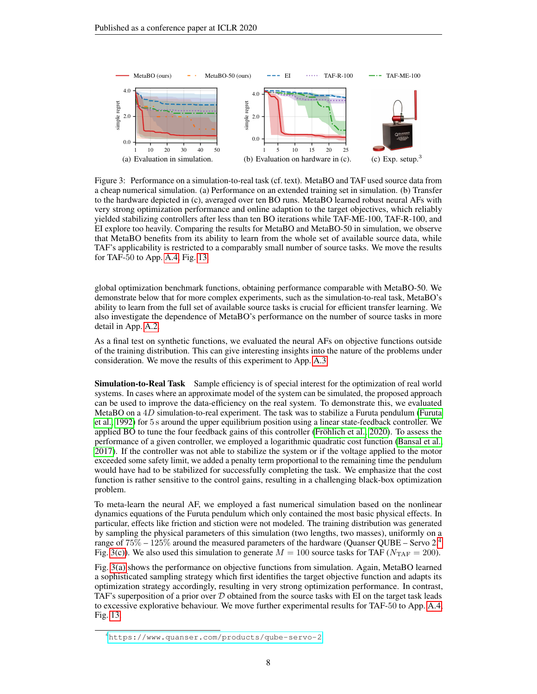

<span id="page-7-4"></span><span id="page-7-3"></span><span id="page-7-2"></span><span id="page-7-1"></span>Figure 3: Performance on a simulation-to-real task (cf. text). MetaBO and TAF used source data from a cheap numerical simulation. (a) Performance on an extended training set in simulation. (b) Transfer to the hardware depicted in (c), averaged over ten BO runs. MetaBO learned robust neural AFs with very strong optimization performance and online adaption to the target objectives, which reliably yielded stabilizing controllers after less than ten BO iterations while TAF-ME-100, TAF-R-100, and EI explore too heavily. Comparing the results for MetaBO and MetaBO-50 in simulation, we observe that MetaBO benefits from its ability to learn from the whole set of available source data, while TAF's applicability is restricted to a comparably small number of source tasks. We move the results for TAF-50 to App. [A.4,](#page-18-0) Fig. [13.](#page-20-1)

global optimization benchmark functions, obtaining performance comparable with MetaBO-50. We demonstrate below that for more complex experiments, such as the simulation-to-real task, MetaBO's ability to learn from the full set of available source tasks is crucial for efficient transfer learning. We also investigate the dependence of MetaBO's performance on the number of source tasks in more detail in App. [A.2.](#page-16-0)

As a final test on synthetic functions, we evaluated the neural AFs on objective functions outside of the training distribution. This can give interesting insights into the nature of the problems under consideration. We move the results of this experiment to App. [A.3.](#page-18-2)

**Simulation-to-Real Task** Sample efficiency is of special interest for the optimization of real world systems. In cases where an approximate model of the system can be simulated, the proposed approach can be used to improve the data-efficiency on the real system. To demonstrate this, we evaluated MetaBO on a  $4D$  simulation-to-real experiment. The task was to stabilize a Furuta pendulum [\(Furuta](#page-10-15) [et al., 1992\)](#page-10-15) for 5 s around the upper equilibrium position using a linear state-feedback controller. We applied BO to tune the four feedback gains of this controller [\(Fröhlich et al., 2020\)](#page-10-16). To assess the performance of a given controller, we employed a logarithmic quadratic cost function [\(Bansal et al.,](#page-10-17) [2017\)](#page-10-17). If the controller was not able to stabilize the system or if the voltage applied to the motor exceeded some safety limit, we added a penalty term proportional to the remaining time the pendulum would have had to be stabilized for successfully completing the task. We emphasize that the cost function is rather sensitive to the control gains, resulting in a challenging black-box optimization problem.

To meta-learn the neural AF, we employed a fast numerical simulation based on the nonlinear dynamics equations of the Furuta pendulum which only contained the most basic physical effects. In particular, effects like friction and stiction were not modeled. The training distribution was generated by sampling the physical parameters of this simulation (two lengths, two masses), uniformly on a range of  $75\%$  –  $125\%$  around the measured parameters of the hardware (Quanser QUBE – Servo  $2<sup>4</sup>$  $2<sup>4</sup>$  $2<sup>4</sup>$ Fig. [3\(c\)\)](#page-7-1). We also used this simulation to generate  $M = 100$  source tasks for TAF ( $N_{\text{TAF}} = 200$ ).

Fig. [3\(a\)](#page-7-2) shows the performance on objective functions from simulation. Again, MetaBO learned a sophisticated sampling strategy which first identifies the target objective function and adapts its optimization strategy accordingly, resulting in very strong optimization performance. In contrast, TAF's superposition of a prior over  $D$  obtained from the source tasks with EI on the target task leads to excessive explorative behaviour. We move further experimental results for TAF-50 to App. [A.4,](#page-18-0) Fig. [13.](#page-20-1)

<span id="page-7-0"></span><sup>4</sup><https://www.quanser.com/products/qube-servo-2>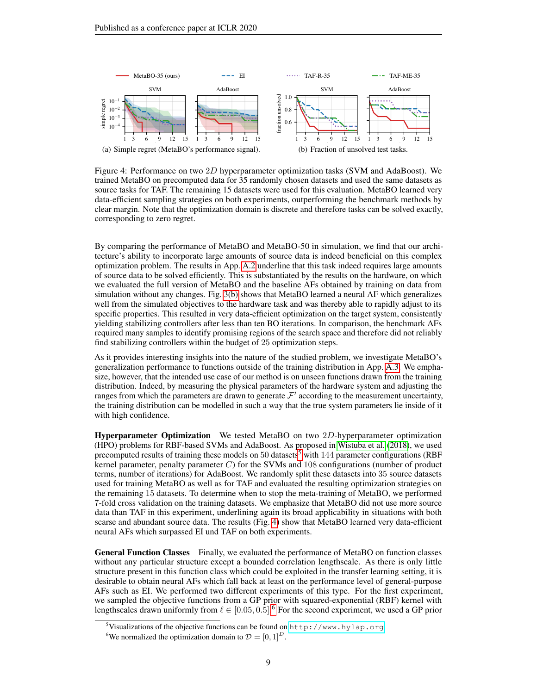

<span id="page-8-1"></span>Figure 4: Performance on two 2D hyperparameter optimization tasks (SVM and AdaBoost). We trained MetaBO on precomputed data for 35 randomly chosen datasets and used the same datasets as source tasks for TAF. The remaining 15 datasets were used for this evaluation. MetaBO learned very data-efficient sampling strategies on both experiments, outperforming the benchmark methods by clear margin. Note that the optimization domain is discrete and therefore tasks can be solved exactly, corresponding to zero regret.

By comparing the performance of MetaBO and MetaBO-50 in simulation, we find that our architecture's ability to incorporate large amounts of source data is indeed beneficial on this complex optimization problem. The results in App. [A.2](#page-16-0) underline that this task indeed requires large amounts of source data to be solved efficiently. This is substantiated by the results on the hardware, on which we evaluated the full version of MetaBO and the baseline AFs obtained by training on data from simulation without any changes. Fig. [3\(b\)](#page-7-3) shows that MetaBO learned a neural AF which generalizes well from the simulated objectives to the hardware task and was thereby able to rapidly adjust to its specific properties. This resulted in very data-efficient optimization on the target system, consistently yielding stabilizing controllers after less than ten BO iterations. In comparison, the benchmark AFs required many samples to identify promising regions of the search space and therefore did not reliably find stabilizing controllers within the budget of 25 optimization steps.

As it provides interesting insights into the nature of the studied problem, we investigate MetaBO's generalization performance to functions outside of the training distribution in App. [A.3.](#page-18-2) We emphasize, however, that the intended use case of our method is on unseen functions drawn from the training distribution. Indeed, by measuring the physical parameters of the hardware system and adjusting the ranges from which the parameters are drawn to generate  $\mathcal{F}'$  according to the measurement uncertainty, the training distribution can be modelled in such a way that the true system parameters lie inside of it with high confidence.

Hyperparameter Optimization We tested MetaBO on two 2D-hyperparameter optimization (HPO) problems for RBF-based SVMs and AdaBoost. As proposed in [Wistuba et al.](#page-12-1) [\(2018\)](#page-12-1), we used precomputed results of training these models on [5](#page-8-0)0 datasets<sup>5</sup> with 144 parameter configurations (RBF) kernel parameter, penalty parameter  $C$ ) for the SVMs and 108 configurations (number of product terms, number of iterations) for AdaBoost. We randomly split these datasets into 35 source datasets used for training MetaBO as well as for TAF and evaluated the resulting optimization strategies on the remaining 15 datasets. To determine when to stop the meta-training of MetaBO, we performed 7-fold cross validation on the training datasets. We emphasize that MetaBO did not use more source data than TAF in this experiment, underlining again its broad applicability in situations with both scarse and abundant source data. The results (Fig. [4\)](#page-8-1) show that MetaBO learned very data-efficient neural AFs which surpassed EI und TAF on both experiments.

General Function Classes Finally, we evaluated the performance of MetaBO on function classes without any particular structure except a bounded correlation lengthscale. As there is only little structure present in this function class which could be exploited in the transfer learning setting, it is desirable to obtain neural AFs which fall back at least on the performance level of general-purpose AFs such as EI. We performed two different experiments of this type. For the first experiment, we sampled the objective functions from a GP prior with squared-exponential (RBF) kernel with lengthscales drawn uniformly from  $\ell \in [0.05, 0.5]$ .<sup>[6](#page-8-2)</sup> For the second experiment, we used a GP prior

<span id="page-8-0"></span><sup>&</sup>lt;sup>5</sup>Visualizations of the objective functions can be found on  $http://www.hylap.org$ 

<span id="page-8-2"></span><sup>&</sup>lt;sup>6</sup>We normalized the optimization domain to  $\mathcal{D} = [0, 1]^D$ .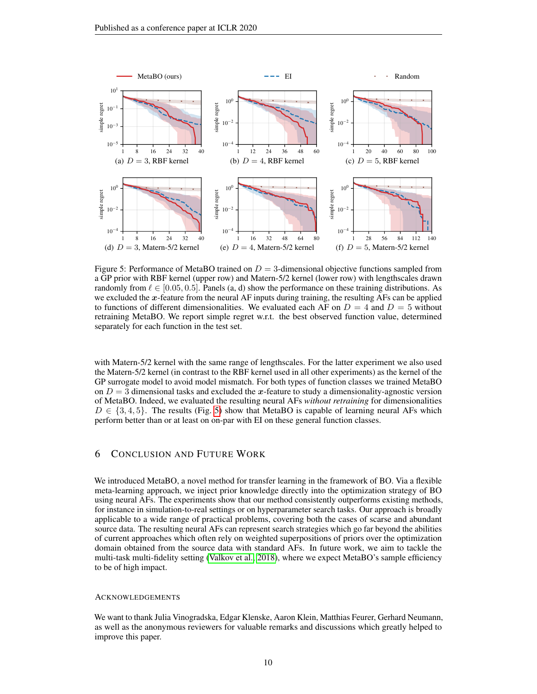

<span id="page-9-0"></span>Figure 5: Performance of MetaBO trained on  $D = 3$ -dimensional objective functions sampled from a GP prior with RBF kernel (upper row) and Matern-5/2 kernel (lower row) with lengthscales drawn randomly from  $\ell \in [0.05, 0.5]$ . Panels (a, d) show the performance on these training distributions. As we excluded the  $x$ -feature from the neural AF inputs during training, the resulting AFs can be applied to functions of different dimensionalities. We evaluated each AF on  $D = 4$  and  $D = 5$  without retraining MetaBO. We report simple regret w.r.t. the best observed function value, determined separately for each function in the test set.

with Matern-5/2 kernel with the same range of lengthscales. For the latter experiment we also used the Matern-5/2 kernel (in contrast to the RBF kernel used in all other experiments) as the kernel of the GP surrogate model to avoid model mismatch. For both types of function classes we trained MetaBO on  $D = 3$  dimensional tasks and excluded the x-feature to study a dimensionality-agnostic version of MetaBO. Indeed, we evaluated the resulting neural AFs *without retraining* for dimensionalities  $D \in \{3, 4, 5\}$ . The results (Fig. [5\)](#page-9-0) show that MetaBO is capable of learning neural AFs which perform better than or at least on on-par with EI on these general function classes.

## 6 CONCLUSION AND FUTURE WORK

We introduced MetaBO, a novel method for transfer learning in the framework of BO. Via a flexible meta-learning approach, we inject prior knowledge directly into the optimization strategy of BO using neural AFs. The experiments show that our method consistently outperforms existing methods, for instance in simulation-to-real settings or on hyperparameter search tasks. Our approach is broadly applicable to a wide range of practical problems, covering both the cases of scarse and abundant source data. The resulting neural AFs can represent search strategies which go far beyond the abilities of current approaches which often rely on weighted superpositions of priors over the optimization domain obtained from the source data with standard AFs. In future work, we aim to tackle the multi-task multi-fidelity setting [\(Valkov et al., 2018\)](#page-12-7), where we expect MetaBO's sample efficiency to be of high impact.

#### ACKNOWLEDGEMENTS

We want to thank Julia Vinogradska, Edgar Klenske, Aaron Klein, Matthias Feurer, Gerhard Neumann, as well as the anonymous reviewers for valuable remarks and discussions which greatly helped to improve this paper.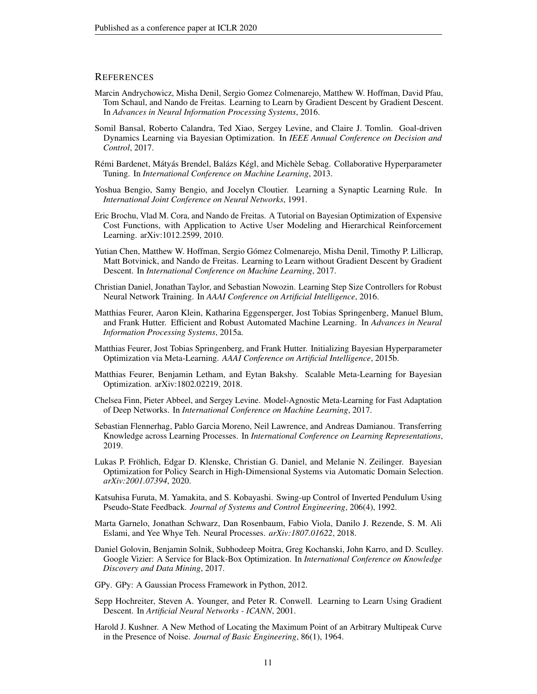#### **REFERENCES**

- <span id="page-10-5"></span>Marcin Andrychowicz, Misha Denil, Sergio Gomez Colmenarejo, Matthew W. Hoffman, David Pfau, Tom Schaul, and Nando de Freitas. Learning to Learn by Gradient Descent by Gradient Descent. In *Advances in Neural Information Processing Systems*, 2016.
- <span id="page-10-17"></span>Somil Bansal, Roberto Calandra, Ted Xiao, Sergey Levine, and Claire J. Tomlin. Goal-driven Dynamics Learning via Bayesian Optimization. In *IEEE Annual Conference on Decision and Control*, 2017.
- <span id="page-10-9"></span>Rémi Bardenet, Mátyás Brendel, Balázs Kégl, and Michèle Sebag. Collaborative Hyperparameter Tuning. In *International Conference on Machine Learning*, 2013.
- <span id="page-10-3"></span>Yoshua Bengio, Samy Bengio, and Jocelyn Cloutier. Learning a Synaptic Learning Rule. In *International Joint Conference on Neural Networks*, 1991.
- <span id="page-10-0"></span>Eric Brochu, Vlad M. Cora, and Nando de Freitas. A Tutorial on Bayesian Optimization of Expensive Cost Functions, with Application to Active User Modeling and Hierarchical Reinforcement Learning. arXiv:1012.2599, 2010.
- <span id="page-10-8"></span>Yutian Chen, Matthew W. Hoffman, Sergio Gómez Colmenarejo, Misha Denil, Timothy P. Lillicrap, Matt Botvinick, and Nando de Freitas. Learning to Learn without Gradient Descent by Gradient Descent. In *International Conference on Machine Learning*, 2017.
- <span id="page-10-4"></span>Christian Daniel, Jonathan Taylor, and Sebastian Nowozin. Learning Step Size Controllers for Robust Neural Network Training. In *AAAI Conference on Artificial Intelligence*, 2016.
- <span id="page-10-12"></span>Matthias Feurer, Aaron Klein, Katharina Eggensperger, Jost Tobias Springenberg, Manuel Blum, and Frank Hutter. Efficient and Robust Automated Machine Learning. In *Advances in Neural Information Processing Systems*, 2015a.
- <span id="page-10-13"></span>Matthias Feurer, Jost Tobias Springenberg, and Frank Hutter. Initializing Bayesian Hyperparameter Optimization via Meta-Learning. *AAAI Conference on Artificial Intelligence*, 2015b.
- <span id="page-10-1"></span>Matthias Feurer, Benjamin Letham, and Eytan Bakshy. Scalable Meta-Learning for Bayesian Optimization. arXiv:1802.02219, 2018.
- <span id="page-10-6"></span>Chelsea Finn, Pieter Abbeel, and Sergey Levine. Model-Agnostic Meta-Learning for Fast Adaptation of Deep Networks. In *International Conference on Machine Learning*, 2017.
- <span id="page-10-7"></span>Sebastian Flennerhag, Pablo Garcia Moreno, Neil Lawrence, and Andreas Damianou. Transferring Knowledge across Learning Processes. In *International Conference on Learning Representations*, 2019.
- <span id="page-10-16"></span>Lukas P. Fröhlich, Edgar D. Klenske, Christian G. Daniel, and Melanie N. Zeilinger. Bayesian Optimization for Policy Search in High-Dimensional Systems via Automatic Domain Selection. *arXiv:2001.07394*, 2020.
- <span id="page-10-15"></span>Katsuhisa Furuta, M. Yamakita, and S. Kobayashi. Swing-up Control of Inverted Pendulum Using Pseudo-State Feedback. *Journal of Systems and Control Engineering*, 206(4), 1992.
- <span id="page-10-10"></span>Marta Garnelo, Jonathan Schwarz, Dan Rosenbaum, Fabio Viola, Danilo J. Rezende, S. M. Ali Eslami, and Yee Whye Teh. Neural Processes. *arXiv:1807.01622*, 2018.
- <span id="page-10-11"></span>Daniel Golovin, Benjamin Solnik, Subhodeep Moitra, Greg Kochanski, John Karro, and D. Sculley. Google Vizier: A Service for Black-Box Optimization. In *International Conference on Knowledge Discovery and Data Mining*, 2017.
- <span id="page-10-18"></span>GPy. GPy: A Gaussian Process Framework in Python, 2012.
- <span id="page-10-2"></span>Sepp Hochreiter, Steven A. Younger, and Peter R. Conwell. Learning to Learn Using Gradient Descent. In *Artificial Neural Networks - ICANN*, 2001.
- <span id="page-10-14"></span>Harold J. Kushner. A New Method of Locating the Maximum Point of an Arbitrary Multipeak Curve in the Presence of Noise. *Journal of Basic Engineering*, 86(1), 1964.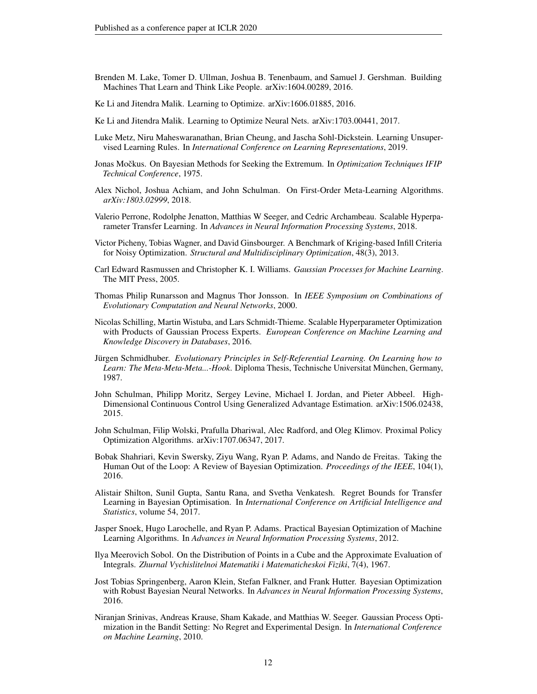- <span id="page-11-4"></span>Brenden M. Lake, Tomer D. Ullman, Joshua B. Tenenbaum, and Samuel J. Gershman. Building Machines That Learn and Think Like People. arXiv:1604.00289, 2016.
- <span id="page-11-6"></span>Ke Li and Jitendra Malik. Learning to Optimize. arXiv:1606.01885, 2016.
- <span id="page-11-7"></span>Ke Li and Jitendra Malik. Learning to Optimize Neural Nets. arXiv:1703.00441, 2017.
- <span id="page-11-8"></span>Luke Metz, Niru Maheswaranathan, Brian Cheung, and Jascha Sohl-Dickstein. Learning Unsupervised Learning Rules. In *International Conference on Learning Representations*, 2019.
- <span id="page-11-0"></span>Jonas Močkus. On Bayesian Methods for Seeking the Extremum. In *Optimization Techniques IFIP Technical Conference*, 1975.
- <span id="page-11-9"></span>Alex Nichol, Joshua Achiam, and John Schulman. On First-Order Meta-Learning Algorithms. *arXiv:1803.02999*, 2018.
- <span id="page-11-12"></span>Valerio Perrone, Rodolphe Jenatton, Matthias W Seeger, and Cedric Archambeau. Scalable Hyperparameter Transfer Learning. In *Advances in Neural Information Processing Systems*, 2018.
- <span id="page-11-18"></span>Victor Picheny, Tobias Wagner, and David Ginsbourger. A Benchmark of Kriging-based Infill Criteria for Noisy Optimization. *Structural and Multidisciplinary Optimization*, 48(3), 2013.
- <span id="page-11-14"></span>Carl Edward Rasmussen and Christopher K. I. Williams. *Gaussian Processes for Machine Learning*. The MIT Press, 2005.
- <span id="page-11-5"></span>Thomas Philip Runarsson and Magnus Thor Jonsson. In *IEEE Symposium on Combinations of Evolutionary Computation and Neural Networks*, 2000.
- <span id="page-11-13"></span>Nicolas Schilling, Martin Wistuba, and Lars Schmidt-Thieme. Scalable Hyperparameter Optimization with Products of Gaussian Process Experts. *European Conference on Machine Learning and Knowledge Discovery in Databases*, 2016.
- <span id="page-11-3"></span>Jürgen Schmidhuber. *Evolutionary Principles in Self-Referential Learning. On Learning how to Learn: The Meta-Meta-Meta...-Hook*. Diploma Thesis, Technische Universitat München, Germany, 1987.
- <span id="page-11-19"></span>John Schulman, Philipp Moritz, Sergey Levine, Michael I. Jordan, and Pieter Abbeel. High-Dimensional Continuous Control Using Generalized Advantage Estimation. arXiv:1506.02438, 2015.
- <span id="page-11-16"></span>John Schulman, Filip Wolski, Prafulla Dhariwal, Alec Radford, and Oleg Klimov. Proximal Policy Optimization Algorithms. arXiv:1707.06347, 2017.
- <span id="page-11-2"></span>Bobak Shahriari, Kevin Swersky, Ziyu Wang, Ryan P. Adams, and Nando de Freitas. Taking the Human Out of the Loop: A Review of Bayesian Optimization. *Proceedings of the IEEE*, 104(1), 2016.
- <span id="page-11-10"></span>Alistair Shilton, Sunil Gupta, Santu Rana, and Svetha Venkatesh. Regret Bounds for Transfer Learning in Bayesian Optimisation. In *International Conference on Artificial Intelligence and Statistics*, volume 54, 2017.
- <span id="page-11-1"></span>Jasper Snoek, Hugo Larochelle, and Ryan P. Adams. Practical Bayesian Optimization of Machine Learning Algorithms. In *Advances in Neural Information Processing Systems*, 2012.
- <span id="page-11-17"></span>Ilya Meerovich Sobol. On the Distribution of Points in a Cube and the Approximate Evaluation of Integrals. *Zhurnal Vychislitelnoi Matematiki i Matematicheskoi Fiziki*, 7(4), 1967.
- <span id="page-11-11"></span>Jost Tobias Springenberg, Aaron Klein, Stefan Falkner, and Frank Hutter. Bayesian Optimization with Robust Bayesian Neural Networks. In *Advances in Neural Information Processing Systems*, 2016.
- <span id="page-11-15"></span>Niranjan Srinivas, Andreas Krause, Sham Kakade, and Matthias W. Seeger. Gaussian Process Optimization in the Bandit Setting: No Regret and Experimental Design. In *International Conference on Machine Learning*, 2010.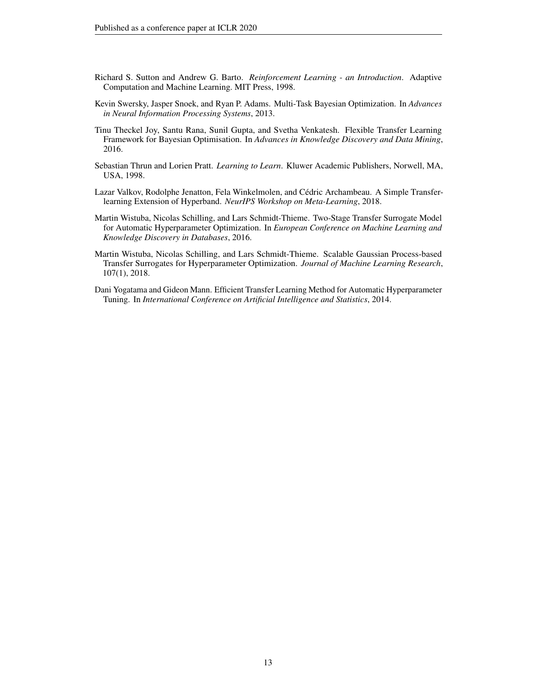- <span id="page-12-6"></span>Richard S. Sutton and Andrew G. Barto. *Reinforcement Learning - an Introduction*. Adaptive Computation and Machine Learning. MIT Press, 1998.
- <span id="page-12-0"></span>Kevin Swersky, Jasper Snoek, and Ryan P. Adams. Multi-Task Bayesian Optimization. In *Advances in Neural Information Processing Systems*, 2013.
- <span id="page-12-4"></span>Tinu Theckel Joy, Santu Rana, Sunil Gupta, and Svetha Venkatesh. Flexible Transfer Learning Framework for Bayesian Optimisation. In *Advances in Knowledge Discovery and Data Mining*, 2016.
- <span id="page-12-2"></span>Sebastian Thrun and Lorien Pratt. *Learning to Learn*. Kluwer Academic Publishers, Norwell, MA, USA, 1998.
- <span id="page-12-7"></span>Lazar Valkov, Rodolphe Jenatton, Fela Winkelmolen, and Cédric Archambeau. A Simple Transferlearning Extension of Hyperband. *NeurIPS Workshop on Meta-Learning*, 2018.
- <span id="page-12-5"></span>Martin Wistuba, Nicolas Schilling, and Lars Schmidt-Thieme. Two-Stage Transfer Surrogate Model for Automatic Hyperparameter Optimization. In *European Conference on Machine Learning and Knowledge Discovery in Databases*, 2016.
- <span id="page-12-1"></span>Martin Wistuba, Nicolas Schilling, and Lars Schmidt-Thieme. Scalable Gaussian Process-based Transfer Surrogates for Hyperparameter Optimization. *Journal of Machine Learning Research*, 107(1), 2018.
- <span id="page-12-3"></span>Dani Yogatama and Gideon Mann. Efficient Transfer Learning Method for Automatic Hyperparameter Tuning. In *International Conference on Artificial Intelligence and Statistics*, 2014.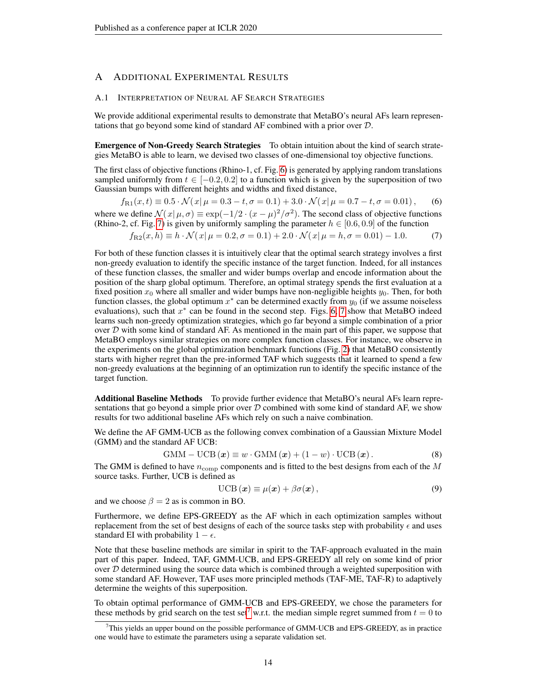# <span id="page-13-0"></span>A ADDITIONAL EXPERIMENTAL RESULTS

#### <span id="page-13-1"></span>A.1 INTERPRETATION OF NEURAL AF SEARCH STRATEGIES

We provide additional experimental results to demonstrate that MetaBO's neural AFs learn representations that go beyond some kind of standard AF combined with a prior over D.

Emergence of Non-Greedy Search Strategies To obtain intuition about the kind of search strategies MetaBO is able to learn, we devised two classes of one-dimensional toy objective functions.

The first class of objective functions (Rhino-1, cf. Fig. [6\)](#page-14-0) is generated by applying random translations sampled uniformly from  $t \in [-0.2, 0.2]$  to a function which is given by the superposition of two Gaussian bumps with different heights and widths and fixed distance,

$$
f_{\text{R1}}(x,t) \equiv 0.5 \cdot \mathcal{N}(x|\mu = 0.3 - t, \sigma = 0.1) + 3.0 \cdot \mathcal{N}(x|\mu = 0.7 - t, \sigma = 0.01), \quad (6)
$$

where we define  $\mathcal{N}(x|\mu,\sigma) \equiv \exp(-1/2 \cdot (x-\mu)^2/\sigma^2)$ . The second class of objective functions (Rhino-2, cf. Fig. [7\)](#page-15-0) is given by uniformly sampling the parameter  $h \in [0.6, 0.9]$  of the function

$$
f_{\text{R2}}(x,h) \equiv h \cdot \mathcal{N}(x|\mu=0.2, \sigma=0.1) + 2.0 \cdot \mathcal{N}(x|\mu=h, \sigma=0.01) - 1.0. \tag{7}
$$

For both of these function classes it is intuitively clear that the optimal search strategy involves a first non-greedy evaluation to identify the specific instance of the target function. Indeed, for all instances of these function classes, the smaller and wider bumps overlap and encode information about the position of the sharp global optimum. Therefore, an optimal strategy spends the first evaluation at a fixed position  $x_0$  where all smaller and wider bumps have non-negligible heights  $y_0$ . Then, for both function classes, the global optimum  $x^*$  can be determined exactly from  $y_0$  (if we assume noiseless evaluations), such that  $x^*$  can be found in the second step. Figs. [6,](#page-14-0) [7](#page-15-0) show that MetaBO indeed learns such non-greedy optimization strategies, which go far beyond a simple combination of a prior over  $D$  with some kind of standard AF. As mentioned in the main part of this paper, we suppose that MetaBO employs similar strategies on more complex function classes. For instance, we observe in the experiments on the global optimization benchmark functions (Fig. [2\)](#page-6-1) that MetaBO consistently starts with higher regret than the pre-informed TAF which suggests that it learned to spend a few non-greedy evaluations at the beginning of an optimization run to identify the specific instance of the target function.

Additional Baseline Methods To provide further evidence that MetaBO's neural AFs learn representations that go beyond a simple prior over  $D$  combined with some kind of standard AF, we show results for two additional baseline AFs which rely on such a naive combination.

We define the AF GMM-UCB as the following convex combination of a Gaussian Mixture Model (GMM) and the standard AF UCB:

$$
GMM – UCB (\boldsymbol{x}) \equiv w \cdot GMM (\boldsymbol{x}) + (1 - w) \cdot UCB (\boldsymbol{x}). \tag{8}
$$

The GMM is defined to have  $n_{\text{comp}}$  components and is fitted to the best designs from each of the  $M$ source tasks. Further, UCB is defined as

$$
\text{UCB}(\boldsymbol{x}) \equiv \mu(\boldsymbol{x}) + \beta \sigma(\boldsymbol{x}), \qquad (9)
$$

and we choose  $\beta = 2$  as is common in BO.

Furthermore, we define EPS-GREEDY as the AF which in each optimization samples without replacement from the set of best designs of each of the source tasks step with probability  $\epsilon$  and uses standard EI with probability  $1 - \epsilon$ .

Note that these baseline methods are similar in spirit to the TAF-approach evaluated in the main part of this paper. Indeed, TAF, GMM-UCB, and EPS-GREEDY all rely on some kind of prior over  $D$  determined using the source data which is combined through a weighted superposition with some standard AF. However, TAF uses more principled methods (TAF-ME, TAF-R) to adaptively determine the weights of this superposition.

To obtain optimal performance of GMM-UCB and EPS-GREEDY, we chose the parameters for these methods by grid search on the test set<sup>[7](#page-13-2)</sup> w.r.t. the median simple regret summed from  $t = 0$  to

<span id="page-13-2"></span> $<sup>7</sup>$ This yields an upper bound on the possible performance of GMM-UCB and EPS-GREEDY, as in practice</sup> one would have to estimate the parameters using a separate validation set.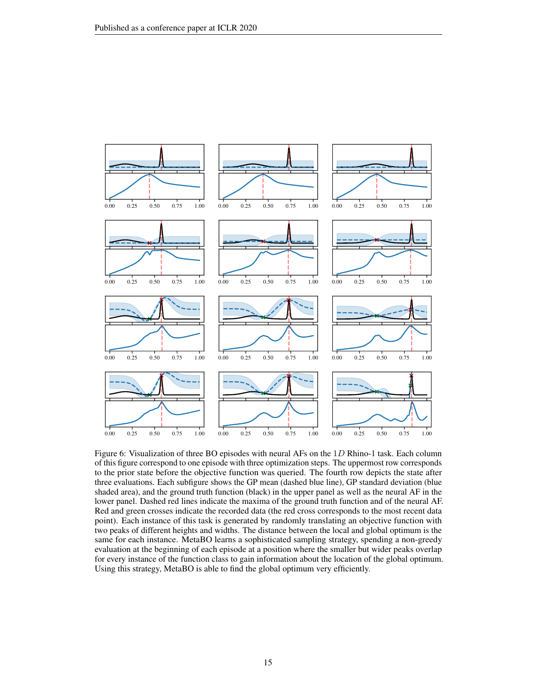

<span id="page-14-0"></span>Figure 6: Visualization of three BO episodes with neural AFs on the 1D Rhino-1 task. Each column of this figure correspond to one episode with three optimization steps. The uppermost row corresponds to the prior state before the objective function was queried. The fourth row depicts the state after three evaluations. Each subfigure shows the GP mean (dashed blue line), GP standard deviation (blue shaded area), and the ground truth function (black) in the upper panel as well as the neural AF in the lower panel. Dashed red lines indicate the maxima of the ground truth function and of the neural AF. Red and green crosses indicate the recorded data (the red cross corresponds to the most recent data point). Each instance of this task is generated by randomly translating an objective function with two peaks of different heights and widths. The distance between the local and global optimum is the same for each instance. MetaBO learns a sophisticated sampling strategy, spending a non-greedy evaluation at the beginning of each episode at a position where the smaller but wider peaks overlap for every instance of the function class to gain information about the location of the global optimum. Using this strategy, MetaBO is able to find the global optimum very efficiently.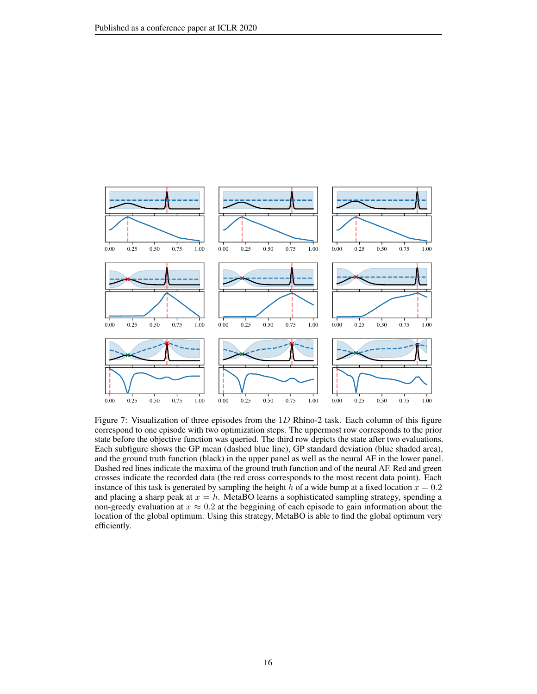

<span id="page-15-0"></span>Figure 7: Visualization of three episodes from the 1D Rhino-2 task. Each column of this figure correspond to one episode with two optimization steps. The uppermost row corresponds to the prior state before the objective function was queried. The third row depicts the state after two evaluations. Each subfigure shows the GP mean (dashed blue line), GP standard deviation (blue shaded area), and the ground truth function (black) in the upper panel as well as the neural AF in the lower panel. Dashed red lines indicate the maxima of the ground truth function and of the neural AF. Red and green crosses indicate the recorded data (the red cross corresponds to the most recent data point). Each instance of this task is generated by sampling the height h of a wide bump at a fixed location  $x = 0.2$ and placing a sharp peak at  $x = h$ . MetaBO learns a sophisticated sampling strategy, spending a non-greedy evaluation at  $x \approx 0.2$  at the beggining of each episode to gain information about the location of the global optimum. Using this strategy, MetaBO is able to find the global optimum very efficiently.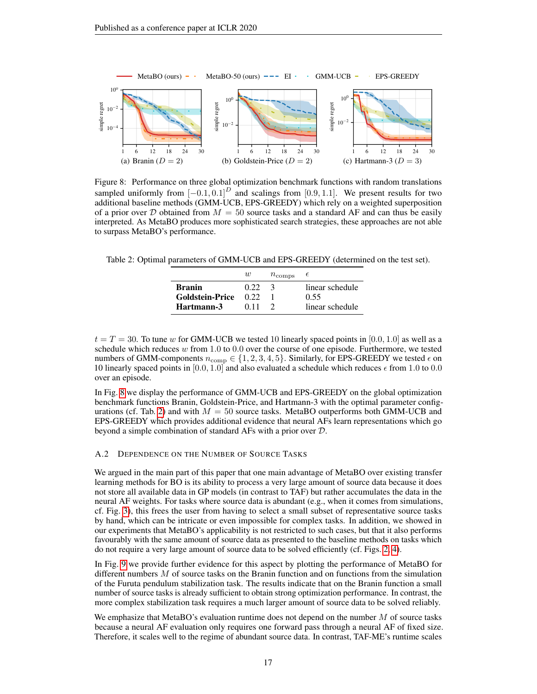

<span id="page-16-1"></span>Figure 8: Performance on three global optimization benchmark functions with random translations sampled uniformly from  $[-0.1, 0.1]^D$  and scalings from  $[0.9, 1.1]$ . We present results for two additional baseline methods (GMM-UCB, EPS-GREEDY) which rely on a weighted superposition of a prior over D obtained from  $M = 50$  source tasks and a standard AF and can thus be easily interpreted. As MetaBO produces more sophisticated search strategies, these approaches are not able to surpass MetaBO's performance.

<span id="page-16-2"></span>Table 2: Optimal parameters of GMM-UCB and EPS-GREEDY (determined on the test set).

| $n_{\text{comps}}$                                                                                     |                                    |
|--------------------------------------------------------------------------------------------------------|------------------------------------|
| <b>Branin</b><br>0.22<br>$\mathcal{A}$<br><b>Goldstein-Price</b><br>0.55<br>0.22<br>Hartmann-3<br>0.11 | linear schedule<br>linear schedule |

 $t = T = 30$ . To tune w for GMM-UCB we tested 10 linearly spaced points in [0.0, 1.0] as well as a schedule which reduces w from 1.0 to 0.0 over the course of one episode. Furthermore, we tested numbers of GMM-components  $n_{\text{comp}} \in \{1, 2, 3, 4, 5\}$ . Similarly, for EPS-GREEDY we tested  $\epsilon$  on 10 linearly spaced points in [0.0, 1.0] and also evaluated a schedule which reduces  $\epsilon$  from 1.0 to 0.0 over an episode.

In Fig. [8](#page-16-1) we display the performance of GMM-UCB and EPS-GREEDY on the global optimization benchmark functions Branin, Goldstein-Price, and Hartmann-3 with the optimal parameter config-urations (cf. Tab. [2\)](#page-16-2) and with  $M = 50$  source tasks. MetaBO outperforms both GMM-UCB and EPS-GREEDY which provides additional evidence that neural AFs learn representations which go beyond a simple combination of standard AFs with a prior over D.

#### <span id="page-16-0"></span>A.2 DEPENDENCE ON THE NUMBER OF SOURCE TASKS

We argued in the main part of this paper that one main advantage of MetaBO over existing transfer learning methods for BO is its ability to process a very large amount of source data because it does not store all available data in GP models (in contrast to TAF) but rather accumulates the data in the neural AF weights. For tasks where source data is abundant (e.g., when it comes from simulations, cf. Fig. [3\)](#page-7-4), this frees the user from having to select a small subset of representative source tasks by hand, which can be intricate or even impossible for complex tasks. In addition, we showed in our experiments that MetaBO's applicability is not restricted to such cases, but that it also performs favourably with the same amount of source data as presented to the baseline methods on tasks which do not require a very large amount of source data to be solved efficiently (cf. Figs. [2,](#page-6-1) [4\)](#page-8-1).

In Fig. [9](#page-17-1) we provide further evidence for this aspect by plotting the performance of MetaBO for different numbers M of source tasks on the Branin function and on functions from the simulation of the Furuta pendulum stabilization task. The results indicate that on the Branin function a small number of source tasks is already sufficient to obtain strong optimization performance. In contrast, the more complex stabilization task requires a much larger amount of source data to be solved reliably.

We emphasize that MetaBO's evaluation runtime does not depend on the number  $M$  of source tasks because a neural AF evaluation only requires one forward pass through a neural AF of fixed size. Therefore, it scales well to the regime of abundant source data. In contrast, TAF-ME's runtime scales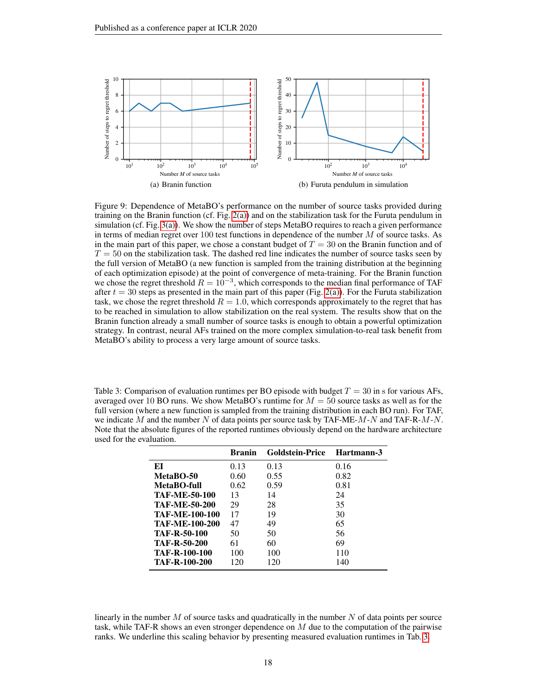

<span id="page-17-1"></span>Figure 9: Dependence of MetaBO's performance on the number of source tasks provided during training on the Branin function (cf. Fig. [2\(a\)\)](#page-6-2) and on the stabilization task for the Furuta pendulum in simulation (cf. Fig. [3\(a\)\)](#page-7-2). We show the number of steps MetaBO requires to reach a given performance in terms of median regret over 100 test functions in dependence of the number  $M$  of source tasks. As in the main part of this paper, we chose a constant budget of  $T = 30$  on the Branin function and of  $T = 50$  on the stabilization task. The dashed red line indicates the number of source tasks seen by the full version of MetaBO (a new function is sampled from the training distribution at the beginning of each optimization episode) at the point of convergence of meta-training. For the Branin function we chose the regret threshold  $R = 10^{-3}$ , which corresponds to the median final performance of TAF after  $t = 30$  steps as presented in the main part of this paper (Fig. [2\(a\)\)](#page-6-2). For the Furuta stabilization task, we chose the regret threshold  $R = 1.0$ , which corresponds approximately to the regret that has to be reached in simulation to allow stabilization on the real system. The results show that on the Branin function already a small number of source tasks is enough to obtain a powerful optimization strategy. In contrast, neural AFs trained on the more complex simulation-to-real task benefit from MetaBO's ability to process a very large amount of source tasks.

<span id="page-17-0"></span>Table 3: Comparison of evaluation runtimes per BO episode with budget  $T = 30$  in s for various AFs, averaged over 10 BO runs. We show MetaBO's runtime for  $M = 50$  source tasks as well as for the full version (where a new function is sampled from the training distribution in each BO run). For TAF, we indicate M and the number N of data points per source task by TAF-ME-M-N and TAF-R-M-N. Note that the absolute figures of the reported runtimes obviously depend on the hardware architecture used for the evaluation.

|                       | <b>Branin</b> | <b>Goldstein-Price</b> | Hartmann-3 |
|-----------------------|---------------|------------------------|------------|
| ЕI                    | 0.13          | 0.13                   | 0.16       |
| MetaBO-50             | 0.60          | 0.55                   | 0.82       |
| MetaBO-full           | 0.62          | 0.59                   | 0.81       |
| <b>TAF-ME-50-100</b>  | 13            | 14                     | 24         |
| <b>TAF-ME-50-200</b>  | 29            | 28                     | 35         |
| <b>TAF-ME-100-100</b> | 17            | 19                     | 30         |
| <b>TAF-ME-100-200</b> | 47            | 49                     | 65         |
| <b>TAF-R-50-100</b>   | 50            | 50                     | 56         |
| <b>TAF-R-50-200</b>   | 61            | 60                     | 69         |
| <b>TAF-R-100-100</b>  | 100           | 100                    | 110        |
| <b>TAF-R-100-200</b>  | 120           | 120                    | 140        |

linearly in the number  $M$  of source tasks and quadratically in the number  $N$  of data points per source task, while TAF-R shows an even stronger dependence on M due to the computation of the pairwise ranks. We underline this scaling behavior by presenting measured evaluation runtimes in Tab. [3.](#page-17-0)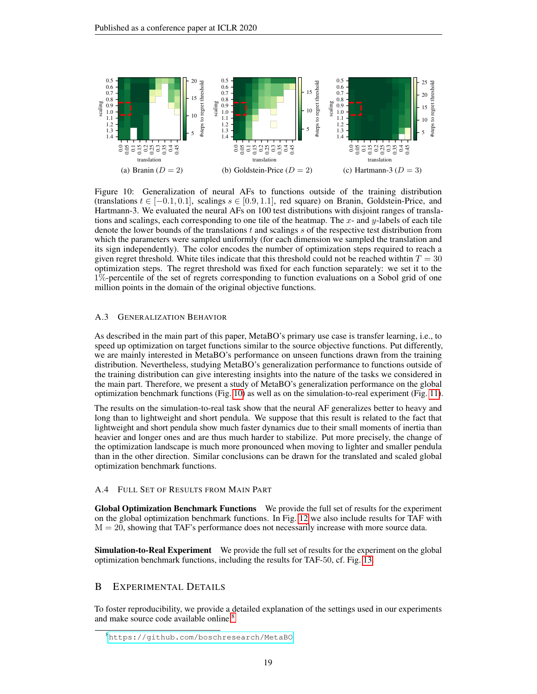

<span id="page-18-3"></span>Figure 10: Generalization of neural AFs to functions outside of the training distribution (translations  $t \in [-0.1, 0.1]$ , scalings  $s \in [0.9, 1.1]$ , red square) on Branin, Goldstein-Price, and Hartmann-3. We evaluated the neural AFs on 100 test distributions with disjoint ranges of translations and scalings, each corresponding to one tile of the heatmap. The  $x$ - and  $y$ -labels of each tile denote the lower bounds of the translations  $t$  and scalings  $s$  of the respective test distribution from which the parameters were sampled uniformly (for each dimension we sampled the translation and its sign independently). The color encodes the number of optimization steps required to reach a given regret threshold. White tiles indicate that this threshold could not be reached withtin  $T = 30$ optimization steps. The regret threshold was fixed for each function separately: we set it to the 1%-percentile of the set of regrets corresponding to function evaluations on a Sobol grid of one million points in the domain of the original objective functions.

#### <span id="page-18-2"></span>A.3 GENERALIZATION BEHAVIOR

As described in the main part of this paper, MetaBO's primary use case is transfer learning, i.e., to speed up optimization on target functions similar to the source objective functions. Put differently, we are mainly interested in MetaBO's performance on unseen functions drawn from the training distribution. Nevertheless, studying MetaBO's generalization performance to functions outside of the training distribution can give interesting insights into the nature of the tasks we considered in the main part. Therefore, we present a study of MetaBO's generalization performance on the global optimization benchmark functions (Fig. [10\)](#page-18-3) as well as on the simulation-to-real experiment (Fig. [11\)](#page-19-1).

The results on the simulation-to-real task show that the neural AF generalizes better to heavy and long than to lightweight and short pendula. We suppose that this result is related to the fact that lightweight and short pendula show much faster dynamics due to their small moments of inertia than heavier and longer ones and are thus much harder to stabilize. Put more precisely, the change of the optimization landscape is much more pronounced when moving to lighter and smaller pendula than in the other direction. Similar conclusions can be drawn for the translated and scaled global optimization benchmark functions.

#### <span id="page-18-0"></span>A.4 FULL SET OF RESULTS FROM MAIN PART

Global Optimization Benchmark Functions We provide the full set of results for the experiment on the global optimization benchmark functions. In Fig. [12](#page-19-0) we also include results for TAF with  $M = 20$ , showing that TAF's performance does not necessarily increase with more source data.

**Simulation-to-Real Experiment** We provide the full set of results for the experiment on the global optimization benchmark functions, including the results for TAF-50, cf. Fig. [13.](#page-20-1)

# <span id="page-18-1"></span>B EXPERIMENTAL DETAILS

To foster reproducibility, we provide a detailed explanation of the settings used in our experiments and make source code available online.<sup>[8](#page-18-4)</sup>

<span id="page-18-4"></span><sup>8</sup><https://github.com/boschresearch/MetaBO>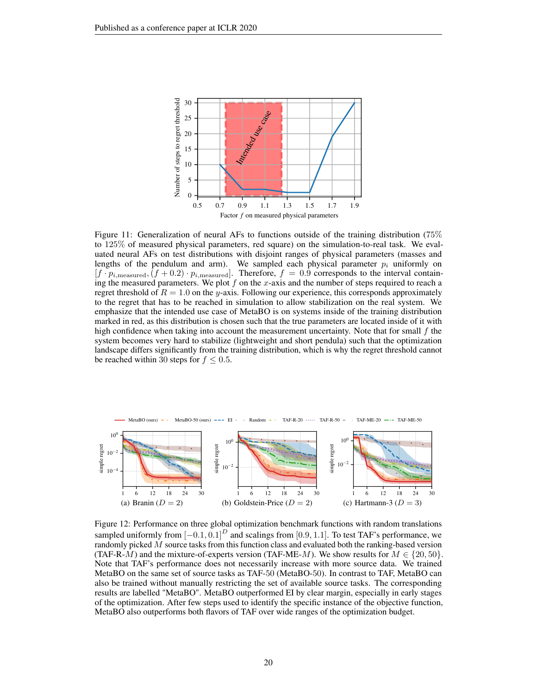

<span id="page-19-1"></span>Figure 11: Generalization of neural AFs to functions outside of the training distribution (75% to 125% of measured physical parameters, red square) on the simulation-to-real task. We evaluated neural AFs on test distributions with disjoint ranges of physical parameters (masses and lengths of the pendulum and arm). We sampled each physical parameter  $p_i$  uniformly on  $[f \cdot p_{i,\text{measured}},(f+0.2) \cdot p_{i,\text{measured}}]$ . Therefore,  $f = 0.9$  corresponds to the interval containing the measured parameters. We plot  $f$  on the  $x$ -axis and the number of steps required to reach a regret threshold of  $R = 1.0$  on the y-axis. Following our experience, this corresponds approximately to the regret that has to be reached in simulation to allow stabilization on the real system. We emphasize that the intended use case of MetaBO is on systems inside of the training distribution marked in red, as this distribution is chosen such that the true parameters are located inside of it with high confidence when taking into account the measurement uncertainty. Note that for small  $f$  the system becomes very hard to stabilize (lightweight and short pendula) such that the optimization landscape differs significantly from the training distribution, which is why the regret threshold cannot be reached within 30 steps for  $f \leq 0.5$ .



<span id="page-19-0"></span>Figure 12: Performance on three global optimization benchmark functions with random translations sampled uniformly from  $[-0.1, 0.1]^D$  and scalings from [0.9, 1.1]. To test TAF's performance, we randomly picked  $\dot{M}$  source tasks from this function class and evaluated both the ranking-based version (TAF-R-M) and the mixture-of-experts version (TAF-ME-M). We show results for  $M \in \{20, 50\}$ . Note that TAF's performance does not necessarily increase with more source data. We trained MetaBO on the same set of source tasks as TAF-50 (MetaBO-50). In contrast to TAF, MetaBO can also be trained without manually restricting the set of available source tasks. The corresponding results are labelled "MetaBO". MetaBO outperformed EI by clear margin, especially in early stages of the optimization. After few steps used to identify the specific instance of the objective function, MetaBO also outperforms both flavors of TAF over wide ranges of the optimization budget.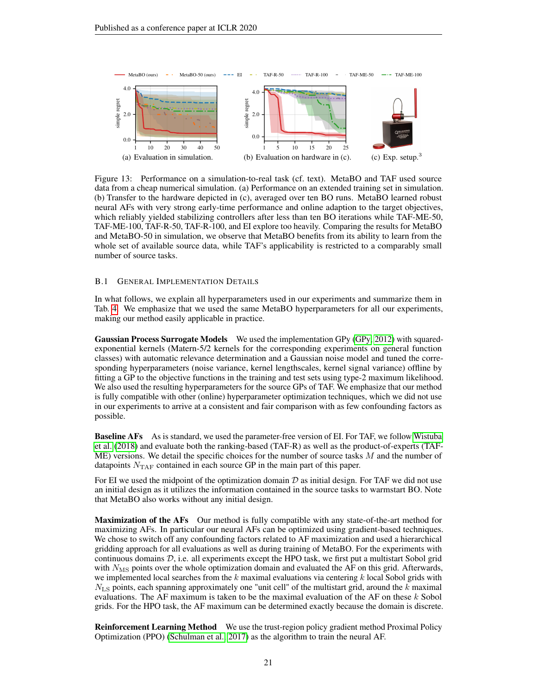

<span id="page-20-1"></span>Figure 13: Performance on a simulation-to-real task (cf. text). MetaBO and TAF used source data from a cheap numerical simulation. (a) Performance on an extended training set in simulation. (b) Transfer to the hardware depicted in (c), averaged over ten BO runs. MetaBO learned robust neural AFs with very strong early-time performance and online adaption to the target objectives, which reliably yielded stabilizing controllers after less than ten BO iterations while TAF-ME-50, TAF-ME-100, TAF-R-50, TAF-R-100, and EI explore too heavily. Comparing the results for MetaBO and MetaBO-50 in simulation, we observe that MetaBO benefits from its ability to learn from the whole set of available source data, while TAF's applicability is restricted to a comparably small number of source tasks.

#### <span id="page-20-0"></span>B.1 GENERAL IMPLEMENTATION DETAILS

In what follows, we explain all hyperparameters used in our experiments and summarize them in Tab. [4.](#page-21-0) We emphasize that we used the same MetaBO hyperparameters for all our experiments, making our method easily applicable in practice.

Gaussian Process Surrogate Models We used the implementation GPy [\(GPy, 2012\)](#page-10-18) with squaredexponential kernels (Matern-5/2 kernels for the corresponding experiments on general function classes) with automatic relevance determination and a Gaussian noise model and tuned the corresponding hyperparameters (noise variance, kernel lengthscales, kernel signal variance) offline by fitting a GP to the objective functions in the training and test sets using type-2 maximum likelihood. We also used the resulting hyperparameters for the source GPs of TAF. We emphasize that our method is fully compatible with other (online) hyperparameter optimization techniques, which we did not use in our experiments to arrive at a consistent and fair comparison with as few confounding factors as possible.

**Baseline AFs** As is standard, we used the parameter-free version of EI. For TAF, we follow [Wistuba](#page-12-1) [et al.](#page-12-1) [\(2018\)](#page-12-1) and evaluate both the ranking-based (TAF-R) as well as the product-of-experts (TAF- $ME$ ) versions. We detail the specific choices for the number of source tasks  $M$  and the number of datapoints  $N_{\text{TAF}}$  contained in each source GP in the main part of this paper.

For EI we used the midpoint of the optimization domain  $D$  as initial design. For TAF we did not use an initial design as it utilizes the information contained in the source tasks to warmstart BO. Note that MetaBO also works without any initial design.

Maximization of the AFs Our method is fully compatible with any state-of-the-art method for maximizing AFs. In particular our neural AFs can be optimized using gradient-based techniques. We chose to switch off any confounding factors related to AF maximization and used a hierarchical gridding approach for all evaluations as well as during training of MetaBO. For the experiments with continuous domains  $D$ , i.e. all experiments except the HPO task, we first put a multistart Sobol grid with  $N_{\rm MS}$  points over the whole optimization domain and evaluated the AF on this grid. Afterwards, we implemented local searches from the  $k$  maximal evaluations via centering  $k$  local Sobol grids with  $N_{\rm LS}$  points, each spanning approximately one "unit cell" of the multistart grid, around the k maximal evaluations. The AF maximum is taken to be the maximal evaluation of the AF on these  $k$  Sobol grids. For the HPO task, the AF maximum can be determined exactly because the domain is discrete.

**Reinforcement Learning Method** We use the trust-region policy gradient method Proximal Policy Optimization (PPO) [\(Schulman et al., 2017\)](#page-11-16) as the algorithm to train the neural AF.